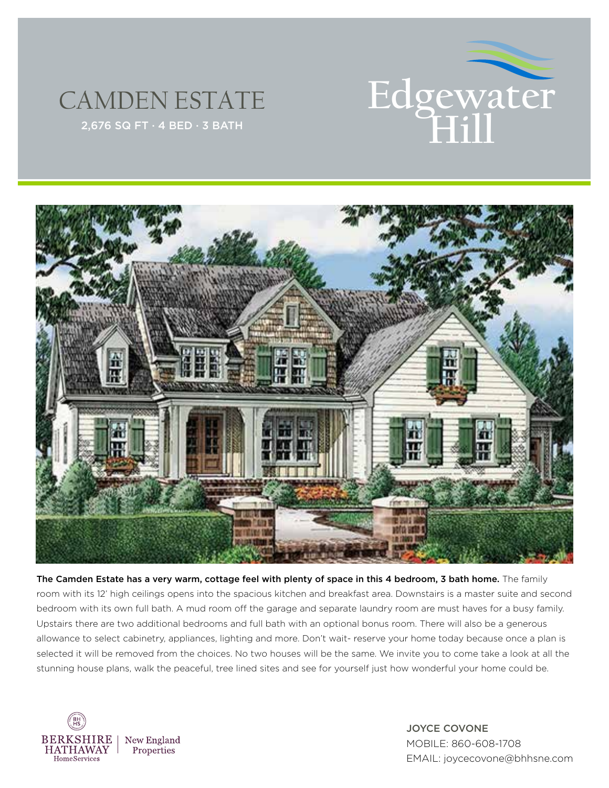





The Camden Estate has a very warm, cottage feel with plenty of space in this 4 bedroom, 3 bath home. The family room with its 12' high ceilings opens into the spacious kitchen and breakfast area. Downstairs is a master suite and second bedroom with its own full bath. A mud room off the garage and separate laundry room are must haves for a busy family. Upstairs there are two additional bedrooms and full bath with an optional bonus room. There will also be a generous allowance to select cabinetry, appliances, lighting and more. Don't wait- reserve your home today because once a plan is selected it will be removed from the choices. No two houses will be the same. We invite you to come take a look at all the stunning house plans, walk the peaceful, tree lined sites and see for yourself just how wonderful your home could be.



JOYCE COVONE MOBILE: 860-608-1708 EMAIL: joycecovone@bhhsne.com